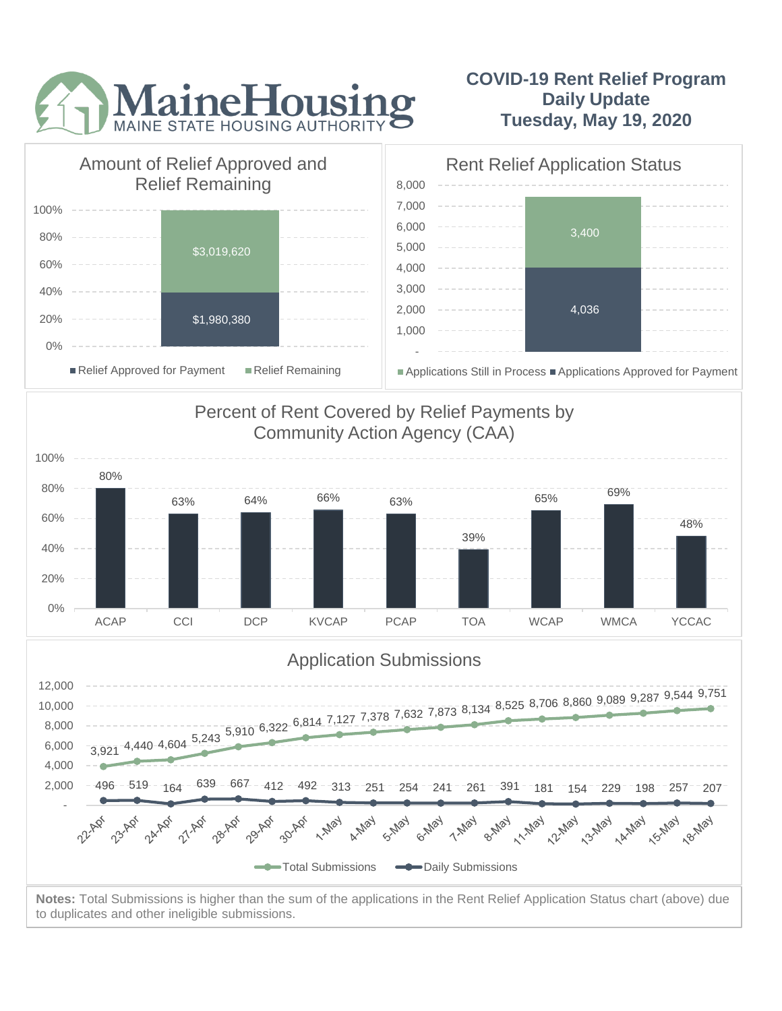

## **COVID-19 Rent Relief Program Daily Update Tuesday, May 19, 2020**



to duplicates and other ineligible submissions.